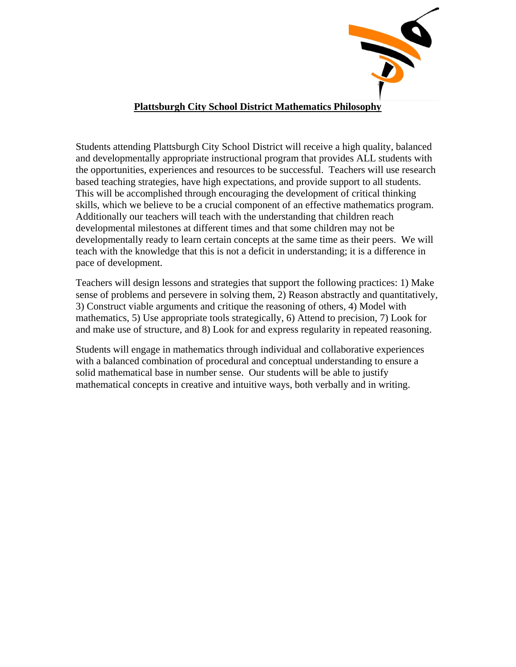

## **Plattsburgh City School District Mathematics Philosophy**

Students attending Plattsburgh City School District will receive a high quality, balanced and developmentally appropriate instructional program that provides ALL students with the opportunities, experiences and resources to be successful. Teachers will use research based teaching strategies, have high expectations, and provide support to all students. This will be accomplished through encouraging the development of critical thinking skills, which we believe to be a crucial component of an effective mathematics program. Additionally our teachers will teach with the understanding that children reach developmental milestones at different times and that some children may not be developmentally ready to learn certain concepts at the same time as their peers. We will teach with the knowledge that this is not a deficit in understanding; it is a difference in pace of development.

Teachers will design lessons and strategies that support the following practices: 1) Make sense of problems and persevere in solving them, 2) Reason abstractly and quantitatively, 3) Construct viable arguments and critique the reasoning of others, 4) Model with mathematics, 5) Use appropriate tools strategically, 6) Attend to precision, 7) Look for and make use of structure, and 8) Look for and express regularity in repeated reasoning.

Students will engage in mathematics through individual and collaborative experiences with a balanced combination of procedural and conceptual understanding to ensure a solid mathematical base in number sense. Our students will be able to justify mathematical concepts in creative and intuitive ways, both verbally and in writing.